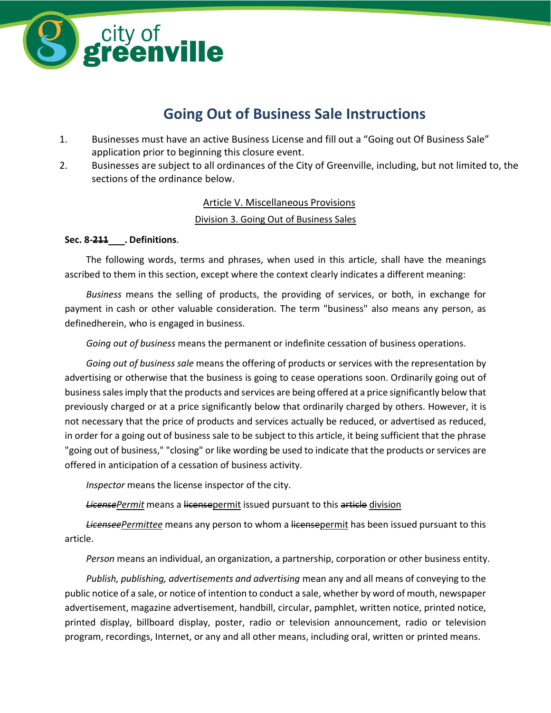

# **Going Out of Business Sale Instructions**

- 1. Businesses must have an active Business License and fill out a "Going out Of Business Sale" application prior to beginning this closure event.
- 2. Businesses are subject to all ordinances of the City of Greenville, including, but not limited to, the sections of the ordinance below.

# Article V. Miscellaneous Provisions

# Division 3. Going Out of Business Sales

### **Sec. 8-211 . Definitions**.

The following words, terms and phrases, when used in this article, shall have the meanings ascribed to them in this section, except where the context clearly indicates a different meaning:

*Business* means the selling of products, the providing of services, or both, in exchange for payment in cash or other valuable consideration. The term "business" also means any person, as definedherein, who is engaged in business.

*Going out of business* means the permanent or indefinite cessation of business operations.

*Going out of business sale* means the offering of products or services with the representation by advertising or otherwise that the business is going to cease operations soon. Ordinarily going out of businesssalesimply that the products and services are being offered at a price significantly below that previously charged or at a price significantly below that ordinarily charged by others. However, it is not necessary that the price of products and services actually be reduced, or advertised as reduced, in order for a going out of business sale to be subject to this article, it being sufficient that the phrase "going out of business," "closing" or like wording be used to indicate that the products or services are offered in anticipation of a cessation of business activity.

*Inspector* means the license inspector of the city.

*LicensePermit* means a licensepermit issued pursuant to this article division

*LicenseePermittee* means any person to whom a licensepermit has been issued pursuant to this article.

*Person* means an individual, an organization, a partnership, corporation or other business entity.

*Publish, publishing, advertisements and advertising* mean any and all means of conveying to the public notice of a sale, or notice of intention to conduct a sale, whether by word of mouth, newspaper advertisement, magazine advertisement, handbill, circular, pamphlet, written notice, printed notice, printed display, billboard display, poster, radio or television announcement, radio or television program, recordings, Internet, or any and all other means, including oral, written or printed means.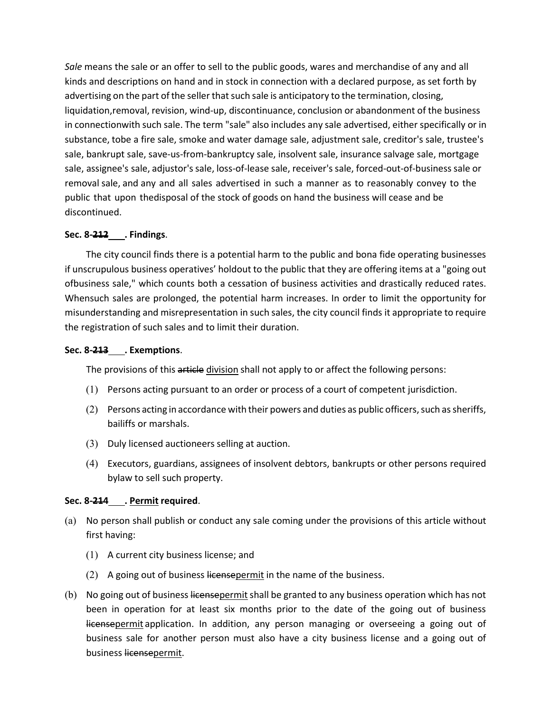*Sale* means the sale or an offer to sell to the public goods, wares and merchandise of any and all kinds and descriptions on hand and in stock in connection with a declared purpose, as set forth by advertising on the part of the seller that such sale is anticipatory to the termination, closing, liquidation,removal, revision, wind-up, discontinuance, conclusion or abandonment of the business in connectionwith such sale. The term "sale" also includes any sale advertised, either specifically or in substance, tobe a fire sale, smoke and water damage sale, adjustment sale, creditor's sale, trustee's sale, bankrupt sale, save-us-from-bankruptcy sale, insolvent sale, insurance salvage sale, mortgage sale, assignee's sale, adjustor'ssale, loss-of-lease sale, receiver'ssale, forced-out-of-businesssale or removal sale, and any and all sales advertised in such a manner as to reasonably convey to the public that upon thedisposal of the stock of goods on hand the business will cease and be discontinued.

# **Sec. 8-212 . Findings**.

The city council finds there is a potential harm to the public and bona fide operating businesses if unscrupulous business operatives' holdout to the public that they are offering items at a "going out ofbusiness sale," which counts both a cessation of business activities and drastically reduced rates. Whensuch sales are prolonged, the potential harm increases. In order to limit the opportunity for misunderstanding and misrepresentation in such sales, the city council finds it appropriate to require the registration of such sales and to limit their duration.

# **Sec. 8-213 . Exemptions**.

The provisions of this article division shall not apply to or affect the following persons:

- (1) Persons acting pursuant to an order or process of a court of competent jurisdiction.
- $(2)$  Persons acting in accordance with their powers and duties as public officers, such as sheriffs, bailiffs or marshals.
- (3) Duly licensed auctioneers selling at auction.
- (4) Executors, guardians, assignees of insolvent debtors, bankrupts or other persons required bylaw to sell such property.

# **Sec. 8-214 . Permit required**.

- (a) No person shall publish or conduct any sale coming under the provisions of this article without first having:
	- (1) A current city business license; and
	- $(2)$  A going out of business licensepermit in the name of the business.
- (b) No going out of business licensepermit shall be granted to any business operation which has not been in operation for at least six months prior to the date of the going out of business licensepermit application. In addition, any person managing or overseeing a going out of business sale for another person must also have a city business license and a going out of business licensepermit.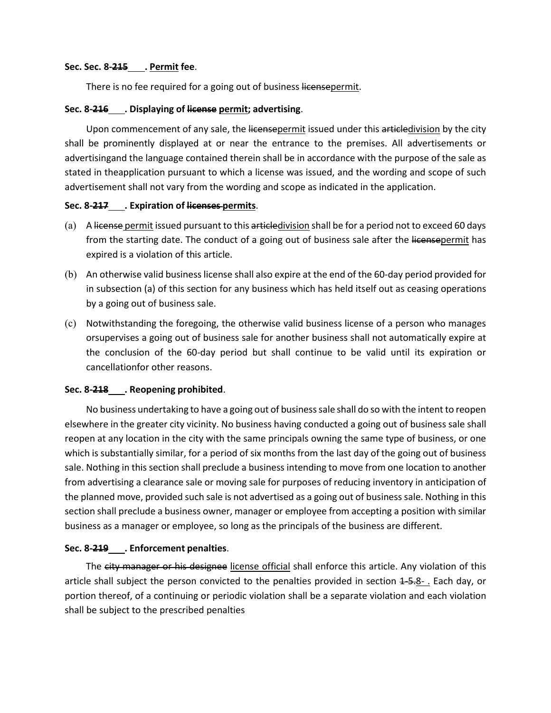#### **Sec. Sec. 8-215 . Permit fee**.

There is no fee required for a going out of business licensepermit.

#### **Sec. 8-216 . Displaying of license permit; advertising**.

Upon commencement of any sale, the licensepermit issued under this articledivision by the city shall be prominently displayed at or near the entrance to the premises. All advertisements or advertisingand the language contained therein shall be in accordance with the purpose of the sale as stated in theapplication pursuant to which a license was issued, and the wording and scope of such advertisement shall not vary from the wording and scope as indicated in the application.

#### **Sec. 8-217 . Expiration of licenses permits**.

- (a) A license permit issued pursuant to this articledivision shall be for a period not to exceed 60 days from the starting date. The conduct of a going out of business sale after the licensepermit has expired is a violation of this article.
- (b) An otherwise valid businesslicense shall also expire at the end of the 60-day period provided for in subsection (a) of this section for any business which has held itself out as ceasing operations by a going out of business sale.
- (c) Notwithstanding the foregoing, the otherwise valid business license of a person who manages orsupervises a going out of business sale for another business shall not automatically expire at the conclusion of the 60-day period but shall continue to be valid until its expiration or cancellationfor other reasons.

#### **Sec. 8-218 . Reopening prohibited**.

No business undertaking to have a going out of businesssale shall do so with the intent to reopen elsewhere in the greater city vicinity. No business having conducted a going out of business sale shall reopen at any location in the city with the same principals owning the same type of business, or one which is substantially similar, for a period of six months from the last day of the going out of business sale. Nothing in this section shall preclude a business intending to move from one location to another from advertising a clearance sale or moving sale for purposes of reducing inventory in anticipation of the planned move, provided such sale is not advertised as a going out of business sale. Nothing in this section shall preclude a business owner, manager or employee from accepting a position with similar business as a manager or employee, so long as the principals of the business are different.

#### **Sec. 8-219 . Enforcement penalties**.

The city manager or his designee license official shall enforce this article. Any violation of this article shall subject the person convicted to the penalties provided in section 4-5-8-. Each day, or portion thereof, of a continuing or periodic violation shall be a separate violation and each violation shall be subject to the prescribed penalties